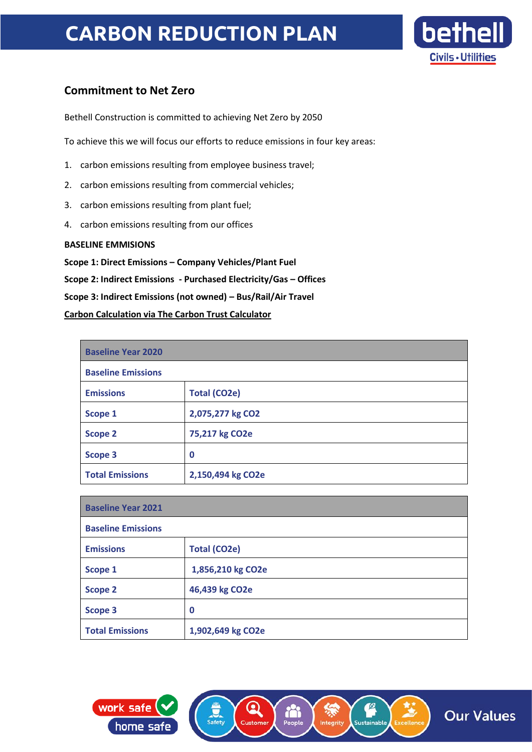## **CARBON REDUCTION PLAN**



### **Commitment to Net Zero**

Bethell Construction is committed to achieving Net Zero by 2050

To achieve this we will focus our efforts to reduce emissions in four key areas:

- 1. carbon emissions resulting from employee business travel;
- 2. carbon emissions resulting from commercial vehicles;
- 3. carbon emissions resulting from plant fuel;
- 4. carbon emissions resulting from our offices

### **BASELINE EMMISIONS**

**Scope 1: Direct Emissions – Company Vehicles/Plant Fuel Scope 2: Indirect Emissions - Purchased Electricity/Gas – Offices Scope 3: Indirect Emissions (not owned) – Bus/Rail/Air Travel Carbon Calculation via The Carbon Trust Calculator**

| <b>Baseline Year 2020</b> |                     |
|---------------------------|---------------------|
| <b>Baseline Emissions</b> |                     |
| <b>Emissions</b>          | <b>Total (CO2e)</b> |
| Scope 1                   | 2,075,277 kg CO2    |
| <b>Scope 2</b>            | 75,217 kg CO2e      |
| <b>Scope 3</b>            | 0                   |
| <b>Total Emissions</b>    | 2,150,494 kg CO2e   |

| <b>Baseline Year 2021</b> |                     |
|---------------------------|---------------------|
| <b>Baseline Emissions</b> |                     |
| <b>Emissions</b>          | <b>Total (CO2e)</b> |
| Scope 1                   | 1,856,210 kg CO2e   |
| <b>Scope 2</b>            | 46,439 kg CO2e      |
| Scope 3                   | 0                   |
| <b>Total Emissions</b>    | 1,902,649 kg CO2e   |